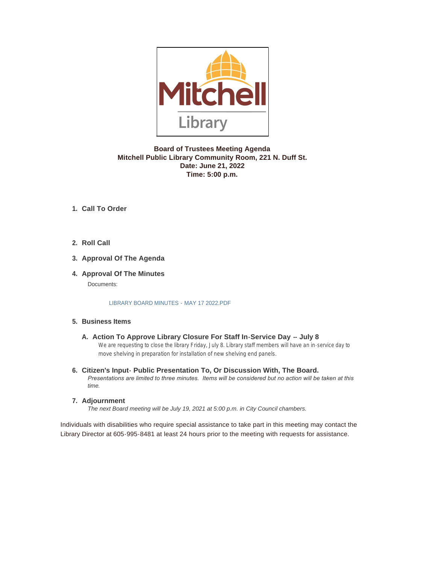

# **Board of Trustees Meeting Agenda Mitchell Public Library Community Room, 221 N. Duff St. Date: June 21, 2022 Time: 5:00 p.m.**

# **Call To Order 1.**

**Roll Call 2.**

# **Approval Of The Agenda 3.**

# **4. Approval Of The Minutes**

Documents:

#### LIBRARY BOARD MINUTES - MAY 17 2022.PDF

## **Business Items 5.**

- A. Action To Approve Library Closure For Staff In-Service Day -- July 8 We are requesting to close the library Friday, July 8. Library staff members will have an in-service day to move shelving in preparation for installation of new shelving end panels.
- **Citizen's Input- Public Presentation To, Or Discussion With, The Board. 6.** *Presentations are limited to three minutes. Items will be considered but no action will be taken at this time.*
- **Adjournment 7.**

*The next Board meeting will be July 19, 2021 at 5:00 p.m. in City Council chambers.*

Individuals with disabilities who require special assistance to take part in this meeting may contact the Library Director at 605-995-8481 at least 24 hours prior to the meeting with requests for assistance.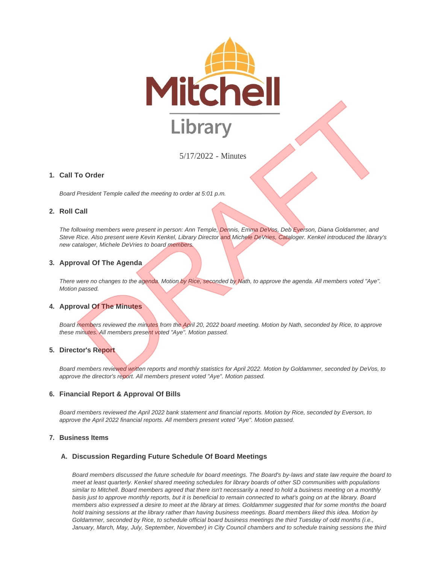

5/17/2022 - Minutes

## **Call To Order 1.**

*Board President Temple called the meeting to order at 5:01 p.m.*

## **Roll Call 2.**

*The following members were present in person: Ann Temple, Dennis, Emma DeVos, Deb Everson, Diana Goldammer, and Steve Rice. Also present were Kevin Kenkel, Library Director and Michele DeVries, Cataloger. Kenkel introduced the library's new cataloger, Michele DeVries to board members.*

## **Approval Of The Agenda 3.**

*There were no changes to the agenda. Motion by Rice, seconded by Nath, to approve the agenda. All members voted "Aye". Motion passed.*

## **4. Approval Of The Minutes**

*Board members reviewed the minutes from the April 20, 2022 board meeting. Motion by Nath, seconded by Rice, to approve these minutes. All members present voted "Aye". Motion passed.*

## **Director's Report 5.**

*Board members reviewed written reports and monthly statistics for April 2022. Motion by Goldammer, seconded by DeVos, to approve the director's report. All members present voted "Aye". Motion passed.*

#### **Financial Report & Approval Of Bills 6.**

*Board members reviewed the April 2022 bank statement and financial reports. Motion by Rice, seconded by Everson, to approve the April 2022 financial reports. All members present voted "Aye". Motion passed.*

## **Business Items 7.**

## **Discussion Regarding Future Schedule Of Board Meetings A.**

*Board members discussed the future schedule for board meetings. The Board's by-laws and state law require the board to meet at least quarterly. Kenkel shared meeting schedules for library boards of other SD communities with populations similar to Mitchell. Board members agreed that there isn't necessarily a need to hold a business meeting on a monthly basis just to approve monthly reports, but it is beneficial to remain connected to what's going on at the library. Board members also expressed a desire to meet at the library at times. Goldammer suggested that for some months the board hold training sessions at the library rather than having business meetings. Board members liked this idea. Motion by Goldammer, seconded by Rice, to schedule official board business meetings the third Tuesday of odd months (i.e.,*  January, March, May, July, September, November) in City Council chambers and to schedule training sessions the third